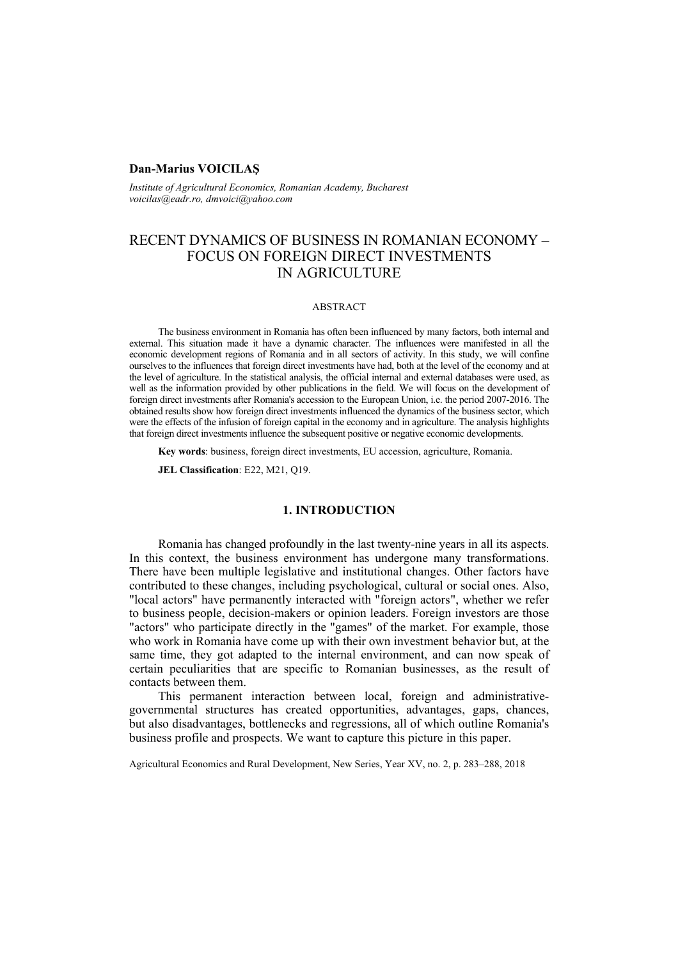### **Dan-Marius VOICILAŞ**

*Institute of Agricultural Economics, Romanian Academy, Bucharest voicilas@eadr.ro, dmvoici@yahoo.com*

# RECENT DYNAMICS OF BUSINESS IN ROMANIAN ECONOMY – FOCUS ON FOREIGN DIRECT INVESTMENTS IN AGRICULTURE

#### ABSTRACT

The business environment in Romania has often been influenced by many factors, both internal and external. This situation made it have a dynamic character. The influences were manifested in all the economic development regions of Romania and in all sectors of activity. In this study, we will confine ourselves to the influences that foreign direct investments have had, both at the level of the economy and at the level of agriculture. In the statistical analysis, the official internal and external databases were used, as well as the information provided by other publications in the field. We will focus on the development of foreign direct investments after Romania's accession to the European Union, i.e. the period 2007-2016. The obtained results show how foreign direct investments influenced the dynamics of the business sector, which were the effects of the infusion of foreign capital in the economy and in agriculture. The analysis highlights that foreign direct investments influence the subsequent positive or negative economic developments.

**Key words**: business, foreign direct investments, EU accession, agriculture, Romania.

**JEL Classification**: E22, M21, Q19.

# **1. INTRODUCTION**

Romania has changed profoundly in the last twenty-nine years in all its aspects. In this context, the business environment has undergone many transformations. There have been multiple legislative and institutional changes. Other factors have contributed to these changes, including psychological, cultural or social ones. Also, "local actors" have permanently interacted with "foreign actors", whether we refer to business people, decision-makers or opinion leaders. Foreign investors are those "actors" who participate directly in the "games" of the market. For example, those who work in Romania have come up with their own investment behavior but, at the same time, they got adapted to the internal environment, and can now speak of certain peculiarities that are specific to Romanian businesses, as the result of contacts between them.

This permanent interaction between local, foreign and administrativegovernmental structures has created opportunities, advantages, gaps, chances, but also disadvantages, bottlenecks and regressions, all of which outline Romania's business profile and prospects. We want to capture this picture in this paper.

Agricultural Economics and Rural Development, New Series, Year XV, no. 2, p. 283–288, 2018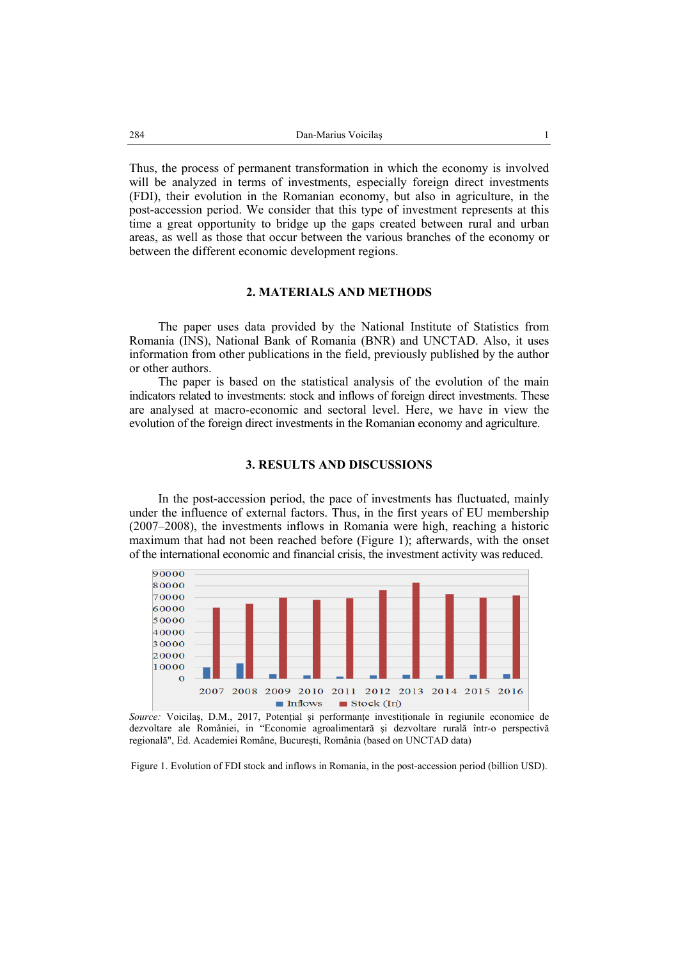Thus, the process of permanent transformation in which the economy is involved will be analyzed in terms of investments, especially foreign direct investments (FDI), their evolution in the Romanian economy, but also in agriculture, in the post-accession period. We consider that this type of investment represents at this time a great opportunity to bridge up the gaps created between rural and urban areas, as well as those that occur between the various branches of the economy or between the different economic development regions.

## **2. MATERIALS AND METHODS**

The paper uses data provided by the National Institute of Statistics from Romania (INS), National Bank of Romania (BNR) and UNCTAD. Also, it uses information from other publications in the field, previously published by the author or other authors.

The paper is based on the statistical analysis of the evolution of the main indicators related to investments: stock and inflows of foreign direct investments. These are analysed at macro-economic and sectoral level. Here, we have in view the evolution of the foreign direct investments in the Romanian economy and agriculture.

### **3. RESULTS AND DISCUSSIONS**

In the post-accession period, the pace of investments has fluctuated, mainly under the influence of external factors. Thus, in the first years of EU membership (2007–2008), the investments inflows in Romania were high, reaching a historic maximum that had not been reached before (Figure 1); afterwards, with the onset of the international economic and financial crisis, the investment activity was reduced.



*Source:* Voicilas, D.M., 2017, Potențial și performanțe investiționale în regiunile economice de dezvoltare ale României, in "Economie agroalimentară şi dezvoltare rurală într-o perspectivă regională", Ed. Academiei Române, Bucureşti, România (based on UNCTAD data)

Figure 1. Evolution of FDI stock and inflows in Romania, in the post-accession period (billion USD).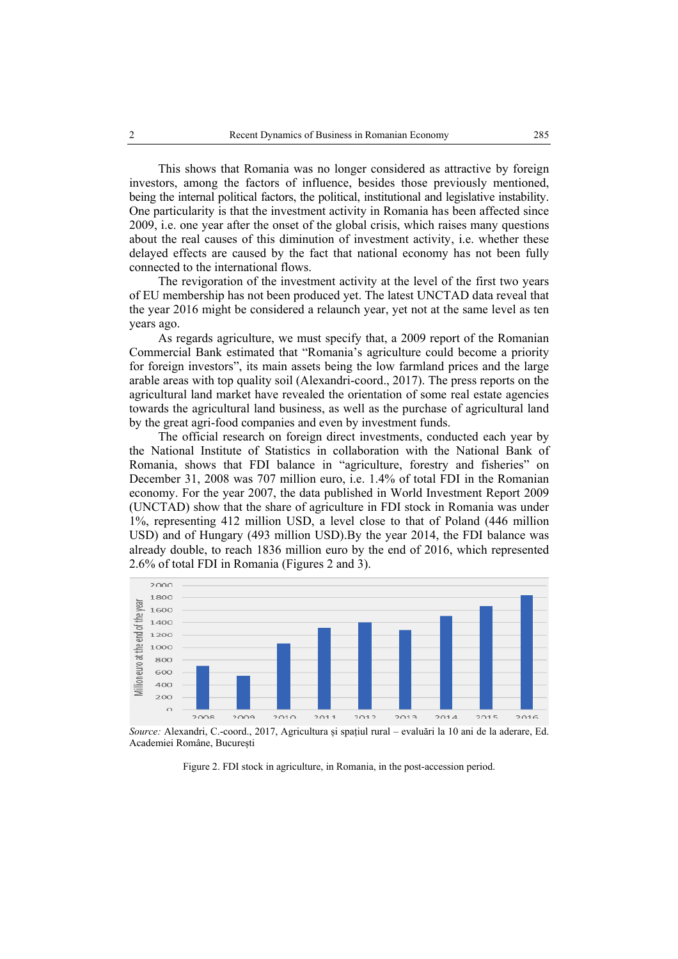This shows that Romania was no longer considered as attractive by foreign investors, among the factors of influence, besides those previously mentioned, being the internal political factors, the political, institutional and legislative instability. One particularity is that the investment activity in Romania has been affected since 2009, i.e. one year after the onset of the global crisis, which raises many questions about the real causes of this diminution of investment activity, i.e. whether these delayed effects are caused by the fact that national economy has not been fully connected to the international flows.

The revigoration of the investment activity at the level of the first two years of EU membership has not been produced yet. The latest UNCTAD data reveal that the year 2016 might be considered a relaunch year, yet not at the same level as ten years ago.

As regards agriculture, we must specify that, a 2009 report of the Romanian Commercial Bank estimated that "Romania's agriculture could become a priority for foreign investors", its main assets being the low farmland prices and the large arable areas with top quality soil (Alexandri-coord., 2017). The press reports on the agricultural land market have revealed the orientation of some real estate agencies towards the agricultural land business, as well as the purchase of agricultural land by the great agri-food companies and even by investment funds.

The official research on foreign direct investments, conducted each year by the National Institute of Statistics in collaboration with the National Bank of Romania, shows that FDI balance in "agriculture, forestry and fisheries" on December 31, 2008 was 707 million euro, i.e. 1.4% of total FDI in the Romanian economy. For the year 2007, the data published in World Investment Report 2009 (UNCTAD) show that the share of agriculture in FDI stock in Romania was under 1%, representing 412 million USD, a level close to that of Poland (446 million USD) and of Hungary (493 million USD).By the year 2014, the FDI balance was already double, to reach 1836 million euro by the end of 2016, which represented 2.6% of total FDI in Romania (Figures 2 and 3).



*Source:* Alexandri, C.-coord., 2017, Agricultura și spațiul rural – evaluări la 10 ani de la aderare, Ed. Academiei Române, București

Figure 2. FDI stock in agriculture, in Romania, in the post-accession period.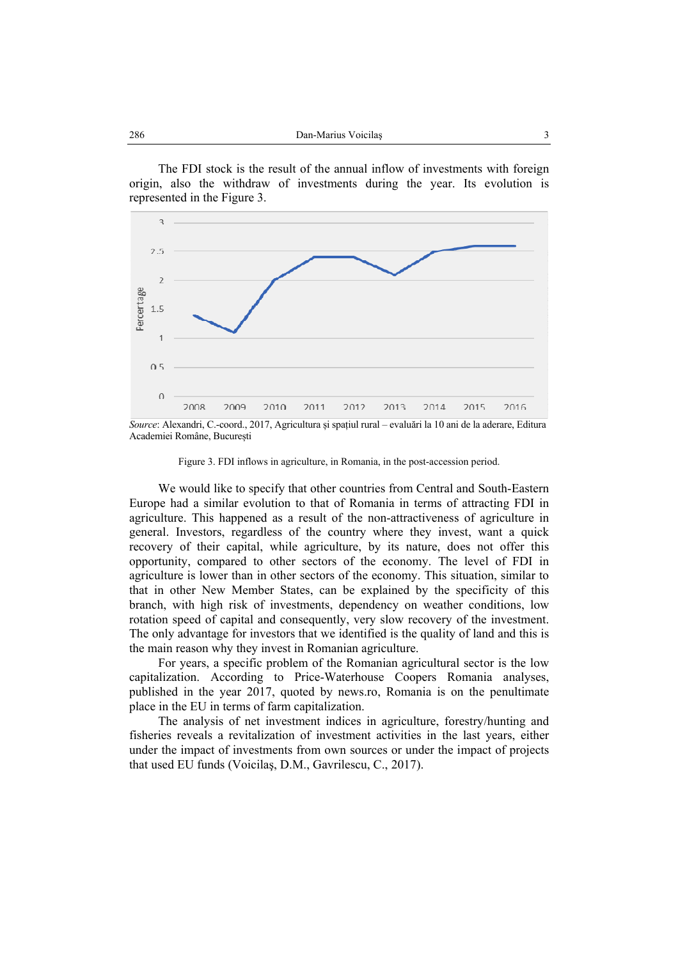The FDI stock is the result of the annual inflow of investments with foreign origin, also the withdraw of investments during the year. Its evolution is represented in the Figure 3.



*Source*: Alexandri, C.-coord., 2017, Agricultura și spațiul rural – evaluări la 10 ani de la aderare, Editura Academiei Române, București

Figure 3. FDI inflows in agriculture, in Romania, in the post-accession period.

We would like to specify that other countries from Central and South-Eastern Europe had a similar evolution to that of Romania in terms of attracting FDI in agriculture. This happened as a result of the non-attractiveness of agriculture in general. Investors, regardless of the country where they invest, want a quick recovery of their capital, while agriculture, by its nature, does not offer this opportunity, compared to other sectors of the economy. The level of FDI in agriculture is lower than in other sectors of the economy. This situation, similar to that in other New Member States, can be explained by the specificity of this branch, with high risk of investments, dependency on weather conditions, low rotation speed of capital and consequently, very slow recovery of the investment. The only advantage for investors that we identified is the quality of land and this is the main reason why they invest in Romanian agriculture.

For years, a specific problem of the Romanian agricultural sector is the low capitalization. According to Price-Waterhouse Coopers Romania analyses, published in the year 2017, quoted by news.ro, Romania is on the penultimate place in the EU in terms of farm capitalization.

The analysis of net investment indices in agriculture, forestry/hunting and fisheries reveals a revitalization of investment activities in the last years, either under the impact of investments from own sources or under the impact of projects that used EU funds (Voicilaş, D.M., Gavrilescu, C., 2017).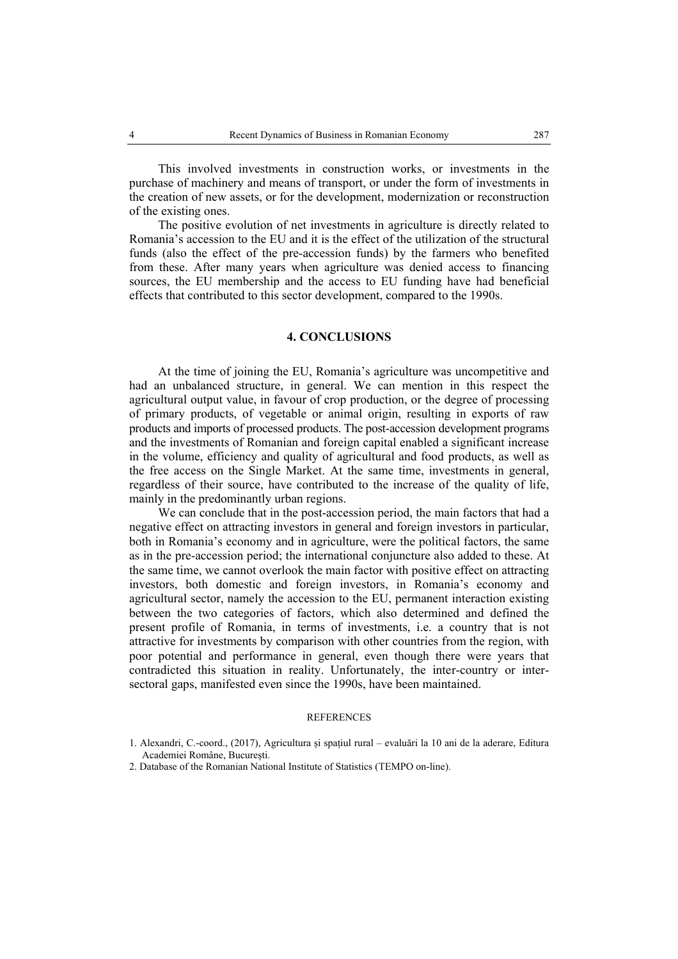This involved investments in construction works, or investments in the purchase of machinery and means of transport, or under the form of investments in the creation of new assets, or for the development, modernization or reconstruction of the existing ones.

The positive evolution of net investments in agriculture is directly related to Romania's accession to the EU and it is the effect of the utilization of the structural funds (also the effect of the pre-accession funds) by the farmers who benefited from these. After many years when agriculture was denied access to financing sources, the EU membership and the access to EU funding have had beneficial effects that contributed to this sector development, compared to the 1990s.

# **4. CONCLUSIONS**

At the time of joining the EU, Romania's agriculture was uncompetitive and had an unbalanced structure, in general. We can mention in this respect the agricultural output value, in favour of crop production, or the degree of processing of primary products, of vegetable or animal origin, resulting in exports of raw products and imports of processed products. The post-accession development programs and the investments of Romanian and foreign capital enabled a significant increase in the volume, efficiency and quality of agricultural and food products, as well as the free access on the Single Market. At the same time, investments in general, regardless of their source, have contributed to the increase of the quality of life, mainly in the predominantly urban regions.

We can conclude that in the post-accession period, the main factors that had a negative effect on attracting investors in general and foreign investors in particular, both in Romania's economy and in agriculture, were the political factors, the same as in the pre-accession period; the international conjuncture also added to these. At the same time, we cannot overlook the main factor with positive effect on attracting investors, both domestic and foreign investors, in Romania's economy and agricultural sector, namely the accession to the EU, permanent interaction existing between the two categories of factors, which also determined and defined the present profile of Romania, in terms of investments, i.e. a country that is not attractive for investments by comparison with other countries from the region, with poor potential and performance in general, even though there were years that contradicted this situation in reality. Unfortunately, the inter-country or intersectoral gaps, manifested even since the 1990s, have been maintained.

### **REFERENCES**

<sup>1.</sup> Alexandri, C.-coord., (2017), Agricultura și spațiul rural – evaluări la 10 ani de la aderare, Editura Academiei Române, București.

<sup>2.</sup> Database of the Romanian National Institute of Statistics (TEMPO on-line).